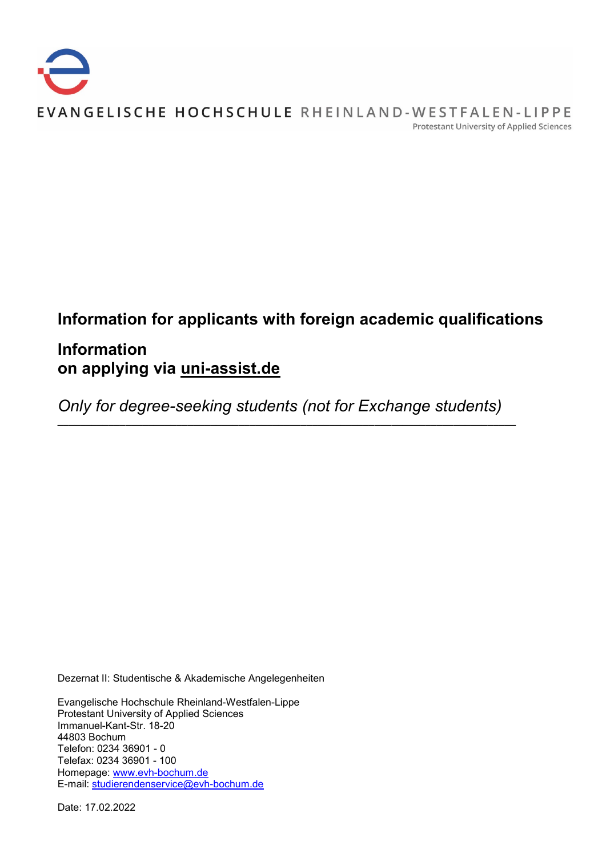

# **Information for applicants with foreign academic qualifications**

# **Information on applying via uni-assist.de**

*Only for degree-seeking students (not for Exchange students)*

**\_\_\_\_\_\_\_\_\_\_\_\_\_\_\_\_\_\_\_\_\_\_\_\_\_\_\_\_\_\_\_\_\_\_\_\_\_\_\_\_\_\_\_\_\_\_\_\_\_\_\_\_\_\_\_\_\_\_\_\_\_\_\_\_\_\_\_\_\_\_\_\_\_\_\_\_\_\_\_\_\_**

Dezernat II: Studentische & Akademische Angelegenheiten

Evangelische Hochschule Rheinland-Westfalen-Lippe Protestant University of Applied Sciences Immanuel-Kant-Str. 18-20 44803 Bochum Telefon: 0234 36901 - 0 Telefax: 0234 36901 - 100 Homepage: [www.evh-bochum.de](http://www.evh-bochum.de/) E-mail: [studierendenservice@evh-bochum.de](mailto:studierendenservice@evh-bochum.de)

Date: 17.02.2022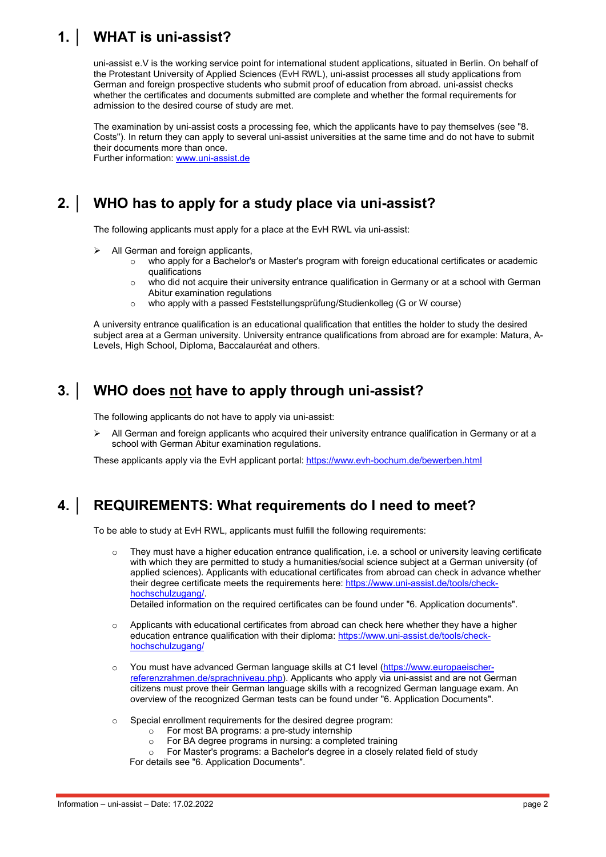# **1. │ WHAT is uni-assist?**

uni-assist e.V is the working service point for international student applications, situated in Berlin. On behalf of the Protestant University of Applied Sciences (EvH RWL), uni-assist processes all study applications from German and foreign prospective students who submit proof of education from abroad. uni-assist checks whether the certificates and documents submitted are complete and whether the formal requirements for admission to the desired course of study are met.

The examination by uni-assist costs a processing fee, which the applicants have to pay themselves (see "8. Costs"). In return they can apply to several uni-assist universities at the same time and do not have to submit their documents more than once.

Further information: [www.uni-assist.de](http://www.uni-assist.de/)

## **2. │ WHO has to apply for a study place via uni-assist?**

The following applicants must apply for a place at the EvH RWL via uni-assist:

- All German and foreign applicants,
	- o who apply for a Bachelor's or Master's program with foreign educational certificates or academic qualifications
	- $\circ$  who did not acquire their university entrance qualification in Germany or at a school with German Abitur examination regulations
	- o who apply with a passed Feststellungsprüfung/Studienkolleg (G or W course)

A university entrance qualification is an educational qualification that entitles the holder to study the desired subject area at a German university. University entrance qualifications from abroad are for example: Matura, A-Levels, High School, Diploma, Baccalauréat and others.

### **3. │ WHO does not have to apply through uni-assist?**

The following applicants do not have to apply via uni-assist:

 All German and foreign applicants who acquired their university entrance qualification in Germany or at a school with German Abitur examination regulations.

These applicants apply via the EvH applicant portal:<https://www.evh-bochum.de/bewerben.html>

### **4. │ REQUIREMENTS: What requirements do I need to meet?**

To be able to study at EvH RWL, applicants must fulfill the following requirements:

 $\circ$  They must have a higher education entrance qualification, i.e. a school or university leaving certificate with which they are permitted to study a humanities/social science subject at a German university (of applied sciences). Applicants with educational certificates from abroad can check in advance whether their degree certificate meets the requirements here: [https://www.uni-assist.de/tools/check](https://www.uni-assist.de/tools/check-hochschulzugang/)[hochschulzugang/.](https://www.uni-assist.de/tools/check-hochschulzugang/)

Detailed information on the required certificates can be found under "6. Application documents".

- $\circ$  Applicants with educational certificates from abroad can check here whether they have a higher education entrance qualification with their diploma: [https://www.uni-assist.de/tools/check](https://www.uni-assist.de/tools/check-hochschulzugang/)[hochschulzugang/](https://www.uni-assist.de/tools/check-hochschulzugang/)
- You must have advanced German language skills at C1 level [\(https://www.europaeischer](https://www.europaeischer-referenzrahmen.de/sprachniveau.php)[referenzrahmen.de/sprachniveau.php\)](https://www.europaeischer-referenzrahmen.de/sprachniveau.php). Applicants who apply via uni-assist and are not German citizens must prove their German language skills with a recognized German language exam. An overview of the recognized German tests can be found under "6. Application Documents".
- $\circ$  Special enrollment requirements for the desired degree program:
	- $\circ$  For most BA programs: a pre-study internship<br> $\circ$  For BA degree programs in nursing: a comple
	- o For BA degree programs in nursing: a completed training<br>
	p For Master's programs: a Bachelor's degree in a closely r
	- For Master's programs: a Bachelor's degree in a closely related field of study

For details see "6. Application Documents".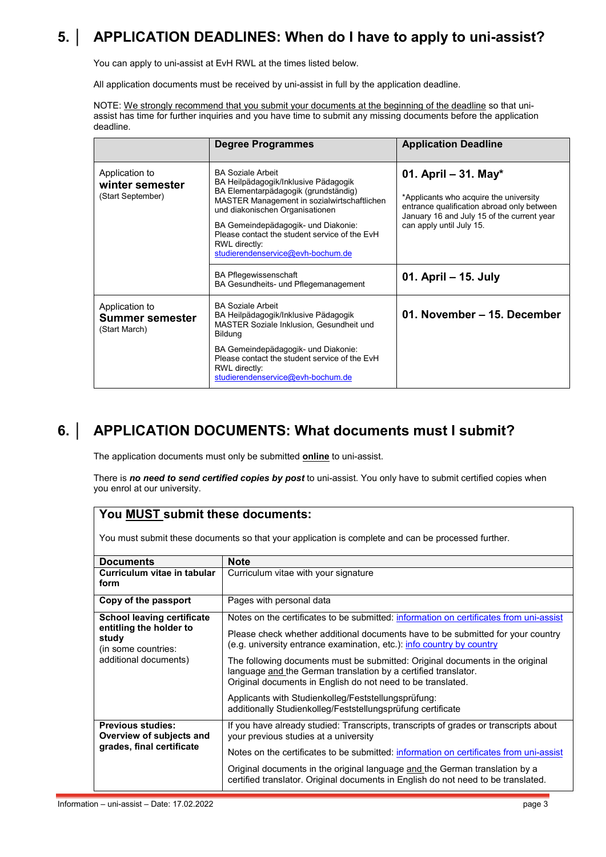# **5. │ APPLICATION DEADLINES: When do I have to apply to uni-assist?**

You can apply to uni-assist at EvH RWL at the times listed below.

All application documents must be received by uni-assist in full by the application deadline.

NOTE: We strongly recommend that you submit your documents at the beginning of the deadline so that uniassist has time for further inquiries and you have time to submit any missing documents before the application deadline.

|                                                        | Degree Programmes                                                                                                                                                                                                                                                                                                                        | <b>Application Deadline</b>                                                                                                                                                            |
|--------------------------------------------------------|------------------------------------------------------------------------------------------------------------------------------------------------------------------------------------------------------------------------------------------------------------------------------------------------------------------------------------------|----------------------------------------------------------------------------------------------------------------------------------------------------------------------------------------|
| Application to<br>winter semester<br>(Start September) | <b>BA Soziale Arbeit</b><br>BA Heilpädagogik/Inklusive Pädagogik<br>BA Elementarpädagogik (grundständig)<br>MASTER Management in sozialwirtschaftlichen<br>und diakonischen Organisationen<br>BA Gemeindepädagogik- und Diakonie:<br>Please contact the student service of the FyH<br>RWL directly:<br>studierendenservice@evh-bochum.de | 01. April – 31. May*<br>*Applicants who acquire the university<br>entrance qualification abroad only between<br>January 16 and July 15 of the current year<br>can apply until July 15. |
|                                                        | <b>BA Pflegewissenschaft</b><br>BA Gesundheits- und Pflegemanagement                                                                                                                                                                                                                                                                     | 01. April – 15. July                                                                                                                                                                   |
| Application to<br>Summer semester<br>(Start March)     | <b>BA Soziale Arbeit</b><br>BA Heilpädagogik/Inklusive Pädagogik<br><b>MASTER Soziale Inklusion, Gesundheit und</b><br><b>Bildung</b>                                                                                                                                                                                                    | 01. November – 15. December                                                                                                                                                            |
|                                                        | BA Gemeindepädagogik- und Diakonie:<br>Please contact the student service of the EvH<br>RWL directly:<br>studierendenservice@evh-bochum.de                                                                                                                                                                                               |                                                                                                                                                                                        |

## **6. │ APPLICATION DOCUMENTS: What documents must I submit?**

The application documents must only be submitted **online** to uni-assist.

There is *no need to send certified copies by post* to uni-assist. You only have to submit certified copies when you enrol at our university.

### **You MUST submit these documents:**

You must submit these documents so that your application is complete and can be processed further.

| <b>Documents</b>                                                                                                      | <b>Note</b>                                                                                                                                                                                                                                        |
|-----------------------------------------------------------------------------------------------------------------------|----------------------------------------------------------------------------------------------------------------------------------------------------------------------------------------------------------------------------------------------------|
| Curriculum vitae in tabular<br>form                                                                                   | Curriculum vitae with your signature                                                                                                                                                                                                               |
| Copy of the passport                                                                                                  | Pages with personal data                                                                                                                                                                                                                           |
| <b>School leaving certificate</b><br>entitling the holder to<br>study<br>(in some countries:<br>additional documents) | Notes on the certificates to be submitted: information on certificates from uni-assist<br>Please check whether additional documents have to be submitted for your country<br>(e.g. university entrance examination, etc.): info country by country |
|                                                                                                                       | The following documents must be submitted: Original documents in the original<br>language and the German translation by a certified translator.<br>Original documents in English do not need to be translated.                                     |
|                                                                                                                       | Applicants with Studienkolleg/Feststellungsprüfung:<br>additionally Studienkolleg/Feststellungsprüfung certificate                                                                                                                                 |
| <b>Previous studies:</b><br>Overview of subjects and<br>grades, final certificate                                     | If you have already studied: Transcripts, transcripts of grades or transcripts about<br>your previous studies at a university                                                                                                                      |
|                                                                                                                       | Notes on the certificates to be submitted: information on certificates from uni-assist                                                                                                                                                             |
|                                                                                                                       | Original documents in the original language and the German translation by a<br>certified translator. Original documents in English do not need to be translated.                                                                                   |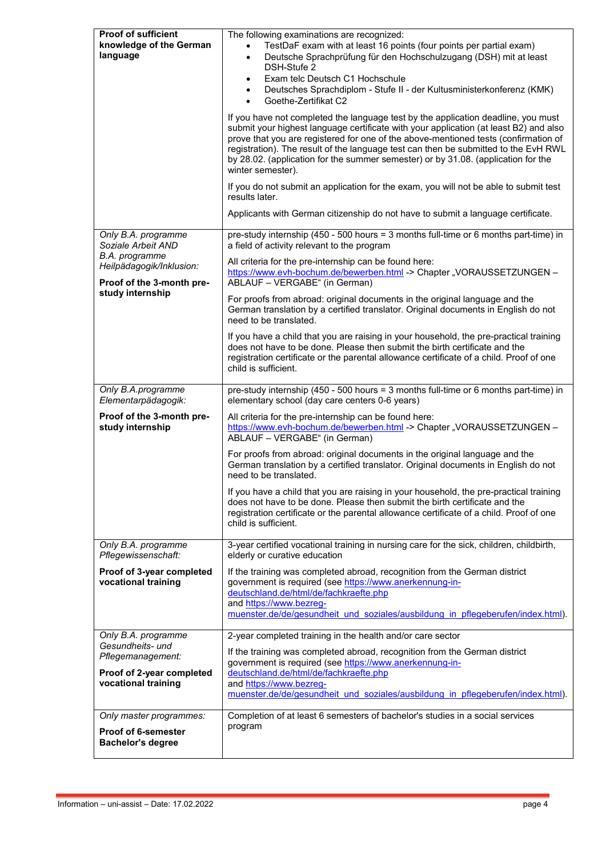| Proof of sufficient<br>knowledge of the German<br>language              | The following examinations are recognized:<br>TestDaF exam with at least 16 points (four points per partial exam)<br>Deutsche Sprachprüfung für den Hochschulzugang (DSH) mit at least<br>$\bullet$<br>DSH-Stufe 2<br>Exam telc Deutsch C1 Hochschule<br>$\bullet$<br>Deutsches Sprachdiplom - Stufe II - der Kultusministerkonferenz (KMK)<br>٠<br>Goethe-Zertifikat C2<br>$\bullet$<br>If you have not completed the language test by the application deadline, you must<br>submit your highest language certificate with your application (at least B2) and also<br>prove that you are registered for one of the above-mentioned tests (confirmation of<br>registration). The result of the language test can then be submitted to the EvH RWL<br>by 28.02. (application for the summer semester) or by 31.08. (application for the<br>winter semester).<br>If you do not submit an application for the exam, you will not be able to submit test<br>results later.<br>Applicants with German citizenship do not have to submit a language certificate. |  |
|-------------------------------------------------------------------------|------------------------------------------------------------------------------------------------------------------------------------------------------------------------------------------------------------------------------------------------------------------------------------------------------------------------------------------------------------------------------------------------------------------------------------------------------------------------------------------------------------------------------------------------------------------------------------------------------------------------------------------------------------------------------------------------------------------------------------------------------------------------------------------------------------------------------------------------------------------------------------------------------------------------------------------------------------------------------------------------------------------------------------------------------------|--|
| Only B.A. programme<br>Soziale Arbeit AND                               | pre-study internship (450 - 500 hours = 3 months full-time or 6 months part-time) in<br>a field of activity relevant to the program                                                                                                                                                                                                                                                                                                                                                                                                                                                                                                                                                                                                                                                                                                                                                                                                                                                                                                                        |  |
| B.A. programme<br>Heilpädagogik/Inklusion:<br>Proof of the 3-month pre- | All criteria for the pre-internship can be found here:<br>https://www.evh-bochum.de/bewerben.html -> Chapter "VORAUSSETZUNGEN -<br>ABLAUF - VERGABE" (in German)                                                                                                                                                                                                                                                                                                                                                                                                                                                                                                                                                                                                                                                                                                                                                                                                                                                                                           |  |
| study internship                                                        | For proofs from abroad: original documents in the original language and the<br>German translation by a certified translator. Original documents in English do not<br>need to be translated.                                                                                                                                                                                                                                                                                                                                                                                                                                                                                                                                                                                                                                                                                                                                                                                                                                                                |  |
|                                                                         | If you have a child that you are raising in your household, the pre-practical training<br>does not have to be done. Please then submit the birth certificate and the<br>registration certificate or the parental allowance certificate of a child. Proof of one<br>child is sufficient.                                                                                                                                                                                                                                                                                                                                                                                                                                                                                                                                                                                                                                                                                                                                                                    |  |
| Only B.A.programme<br>Elementarpädagogik:                               | pre-study internship (450 - 500 hours = 3 months full-time or 6 months part-time) in<br>elementary school (day care centers 0-6 years)                                                                                                                                                                                                                                                                                                                                                                                                                                                                                                                                                                                                                                                                                                                                                                                                                                                                                                                     |  |
| Proof of the 3-month pre-<br>study internship                           | All criteria for the pre-internship can be found here:<br>https://www.evh-bochum.de/bewerben.html -> Chapter "VORAUSSETZUNGEN -<br>ABLAUF - VERGABE" (in German)                                                                                                                                                                                                                                                                                                                                                                                                                                                                                                                                                                                                                                                                                                                                                                                                                                                                                           |  |
|                                                                         | For proofs from abroad: original documents in the original language and the<br>German translation by a certified translator. Original documents in English do not<br>need to be translated.                                                                                                                                                                                                                                                                                                                                                                                                                                                                                                                                                                                                                                                                                                                                                                                                                                                                |  |
|                                                                         | If you have a child that you are raising in your household, the pre-practical training<br>does not have to be done. Please then submit the birth certificate and the<br>registration certificate or the parental allowance certificate of a child. Proof of one<br>child is sufficient.                                                                                                                                                                                                                                                                                                                                                                                                                                                                                                                                                                                                                                                                                                                                                                    |  |
| Only B.A. programme<br>Pflegewissenschaft:                              | 3-year certified vocational training in nursing care for the sick, children, childbirth,<br>elderly or curative education                                                                                                                                                                                                                                                                                                                                                                                                                                                                                                                                                                                                                                                                                                                                                                                                                                                                                                                                  |  |
| Proof of 3-year completed<br>vocational training                        | If the training was completed abroad, recognition from the German district<br>government is required (see https://www.anerkennung-in-<br>deutschland.de/html/de/fachkraefte.php<br>and https://www.bezreg-<br>muenster.de/de/gesundheit und soziales/ausbildung in pflegeberufen/index.html).                                                                                                                                                                                                                                                                                                                                                                                                                                                                                                                                                                                                                                                                                                                                                              |  |
| Only B.A. programme<br>Gesundheits- und                                 | 2-year completed training in the health and/or care sector                                                                                                                                                                                                                                                                                                                                                                                                                                                                                                                                                                                                                                                                                                                                                                                                                                                                                                                                                                                                 |  |
| Pflegemanagement:                                                       | If the training was completed abroad, recognition from the German district<br>government is required (see https://www.anerkennung-in-                                                                                                                                                                                                                                                                                                                                                                                                                                                                                                                                                                                                                                                                                                                                                                                                                                                                                                                      |  |
| Proof of 2-year completed<br>vocational training                        | deutschland.de/html/de/fachkraefte.php<br>and https://www.bezreg-<br>muenster.de/de/gesundheit und soziales/ausbildung in pflegeberufen/index.html).                                                                                                                                                                                                                                                                                                                                                                                                                                                                                                                                                                                                                                                                                                                                                                                                                                                                                                       |  |
| Only master programmes:                                                 | Completion of at least 6 semesters of bachelor's studies in a social services                                                                                                                                                                                                                                                                                                                                                                                                                                                                                                                                                                                                                                                                                                                                                                                                                                                                                                                                                                              |  |
| <b>Proof of 6-semester</b><br><b>Bachelor's degree</b>                  | program                                                                                                                                                                                                                                                                                                                                                                                                                                                                                                                                                                                                                                                                                                                                                                                                                                                                                                                                                                                                                                                    |  |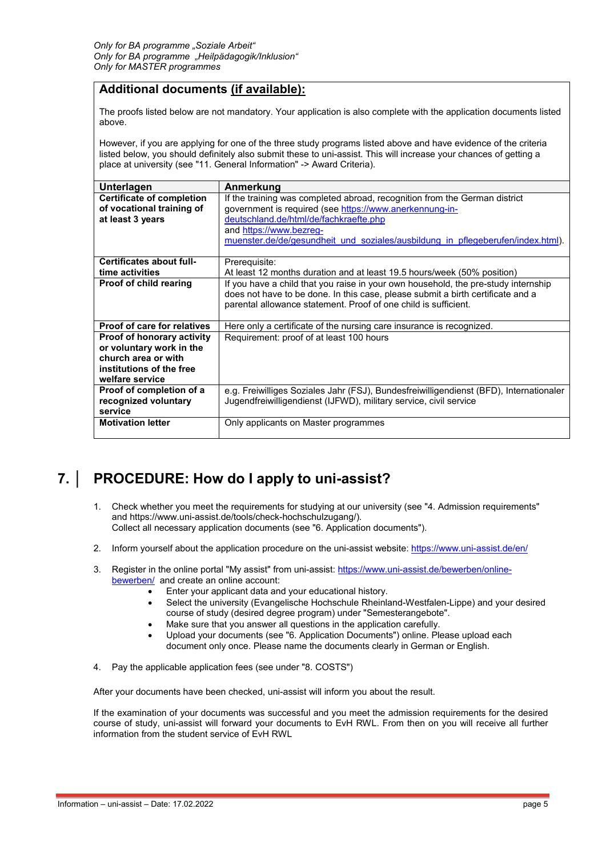### **Additional documents (if available):**

The proofs listed below are not mandatory. Your application is also complete with the application documents listed above.

However, if you are applying for one of the three study programs listed above and have evidence of the criteria listed below, you should definitely also submit these to uni-assist. This will increase your chances of getting a place at university (see "11. General Information" -> Award Criteria).

| <b>Unterlagen</b>                | Anmerkung                                                                              |  |
|----------------------------------|----------------------------------------------------------------------------------------|--|
| <b>Certificate of completion</b> | If the training was completed abroad, recognition from the German district             |  |
| of vocational training of        | government is required (see https://www.anerkennung-in-                                |  |
| at least 3 years                 | deutschland.de/html/de/fachkraefte.php                                                 |  |
|                                  | and https://www.bezreg-                                                                |  |
|                                  | muenster.de/de/gesundheit und soziales/ausbildung in pflegeberufen/index.html).        |  |
|                                  |                                                                                        |  |
| Certificates about full-         | Prerequisite:                                                                          |  |
| time activities                  | At least 12 months duration and at least 19.5 hours/week (50% position)                |  |
| Proof of child rearing           | If you have a child that you raise in your own household, the pre-study internship     |  |
|                                  | does not have to be done. In this case, please submit a birth certificate and a        |  |
|                                  | parental allowance statement. Proof of one child is sufficient.                        |  |
|                                  |                                                                                        |  |
| Proof of care for relatives      | Here only a certificate of the nursing care insurance is recognized.                   |  |
| Proof of honorary activity       | Requirement: proof of at least 100 hours                                               |  |
| or voluntary work in the         |                                                                                        |  |
| church area or with              |                                                                                        |  |
| institutions of the free         |                                                                                        |  |
| welfare service                  |                                                                                        |  |
| Proof of completion of a         | e.g. Freiwilliges Soziales Jahr (FSJ), Bundesfreiwilligendienst (BFD), Internationaler |  |
| recognized voluntary             | Jugendfreiwilligendienst (IJFWD), military service, civil service                      |  |
| service                          |                                                                                        |  |
| <b>Motivation letter</b>         | Only applicants on Master programmes                                                   |  |
|                                  |                                                                                        |  |

## **7. │ PROCEDURE: How do I apply to uni-assist?**

- 1. Check whether you meet the requirements for studying at our university (see "4. Admission requirements" and https://www.uni-assist.de/tools/check-hochschulzugang/). Collect all necessary application documents (see "6. Application documents").
- 2. Inform yourself about the application procedure on the uni-assist website:<https://www.uni-assist.de/en/>
- 3. Register in the online portal "My assist" from uni-assist: [https://www.uni-assist.de/bewerben/online](https://www.uni-assist.de/bewerben/online-bewerben/)[bewerben/](https://www.uni-assist.de/bewerben/online-bewerben/) and create an online account:
	- Enter your applicant data and your educational history.
	- Select the university (Evangelische Hochschule Rheinland-Westfalen-Lippe) and your desired course of study (desired degree program) under "Semesterangebote".
	- Make sure that you answer all questions in the application carefully.
	- Upload your documents (see "6. Application Documents") online. Please upload each document only once. Please name the documents clearly in German or English.
- 4. Pay the applicable application fees (see under "8. COSTS")

After your documents have been checked, uni-assist will inform you about the result.

If the examination of your documents was successful and you meet the admission requirements for the desired course of study, uni-assist will forward your documents to EvH RWL. From then on you will receive all further information from the student service of EvH RWL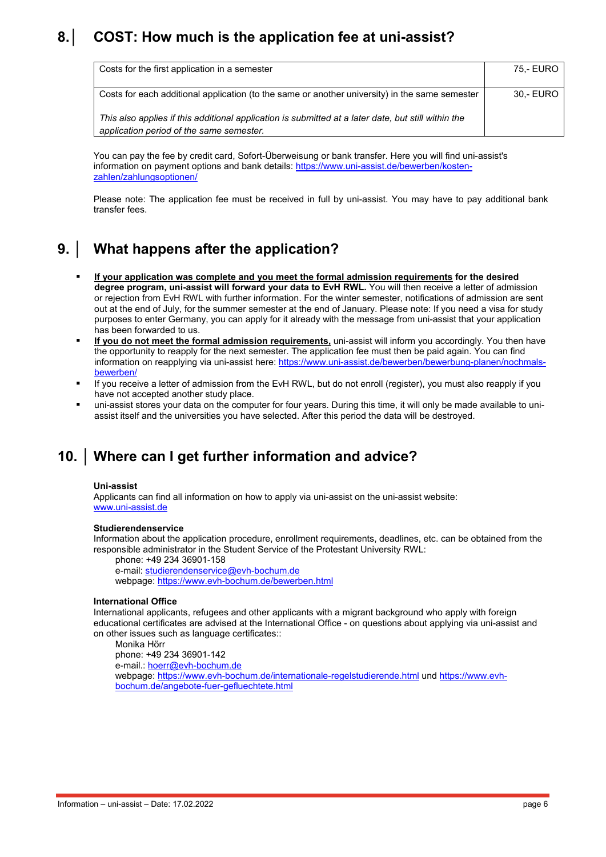## **8.│ COST: How much is the application fee at uni-assist?**

| Costs for the first application in a semester                                                                                                   | 75.- EURO |
|-------------------------------------------------------------------------------------------------------------------------------------------------|-----------|
| Costs for each additional application (to the same or another university) in the same semester                                                  | 30.- EURO |
| This also applies if this additional application is submitted at a later date, but still within the<br>application period of the same semester. |           |

You can pay the fee by credit card, Sofort-Überweisung or bank transfer. Here you will find uni-assist's information on payment options and bank details[: https://www.uni-assist.de/bewerben/kosten](https://www.uni-assist.de/bewerben/kosten-zahlen/zahlungsoptionen/)[zahlen/zahlungsoptionen/](https://www.uni-assist.de/bewerben/kosten-zahlen/zahlungsoptionen/)

Please note: The application fee must be received in full by uni-assist. You may have to pay additional bank transfer fees.

## **9. │ What happens after the application?**

- **If your application was complete and you meet the formal admission requirements for the desired degree program, uni-assist will forward your data to EvH RWL.** You will then receive a letter of admission or rejection from EvH RWL with further information. For the winter semester, notifications of admission are sent out at the end of July, for the summer semester at the end of January. Please note: If you need a visa for study purposes to enter Germany, you can apply for it already with the message from uni-assist that your application has been forwarded to us.
- **If you do not meet the formal admission requirements,** uni-assist will inform you accordingly. You then have the opportunity to reapply for the next semester. The application fee must then be paid again. You can find information on reapplying via uni-assist here: [https://www.uni-assist.de/bewerben/bewerbung-planen/nochmals](https://www.uni-assist.de/bewerben/bewerbung-planen/nochmals-bewerben/)[bewerben/](https://www.uni-assist.de/bewerben/bewerbung-planen/nochmals-bewerben/)
- If you receive a letter of admission from the EvH RWL, but do not enroll (register), you must also reapply if you have not accepted another study place.
- uni-assist stores your data on the computer for four years. During this time, it will only be made available to uniassist itself and the universities you have selected. After this period the data will be destroyed.

### **10. │ Where can I get further information and advice?**

#### **Uni-assist**

Applicants can find all information on how to apply via uni-assist on the uni-assist website: [www.uni-assist.de](http://www.uni-assist.de/)

#### **Studierendenservice**

Information about the application procedure, enrollment requirements, deadlines, etc. can be obtained from the responsible administrator in the Student Service of the Protestant University RWL:

phone: +49 234 36901-158 e-mail: [studierendenservice@evh-bochum.de](mailto:studierendenservice@evh-bochum.de) webpage:<https://www.evh-bochum.de/bewerben.html>

#### **International Office**

International applicants, refugees and other applicants with a migrant background who apply with foreign educational certificates are advised at the International Office - on questions about applying via uni-assist and on other issues such as language certificates::

Monika Hörr

phone: +49 234 36901-142 e-mail.: [hoerr@evh-bochum.de](mailto:hoerr@evh-bochum.de) webpage:<https://www.evh-bochum.de/internationale-regelstudierende.html> und [https://www.evh](https://www.evh-bochum.de/angebote-fuer-gefluechtete.html)[bochum.de/angebote-fuer-gefluechtete.html](https://www.evh-bochum.de/angebote-fuer-gefluechtete.html)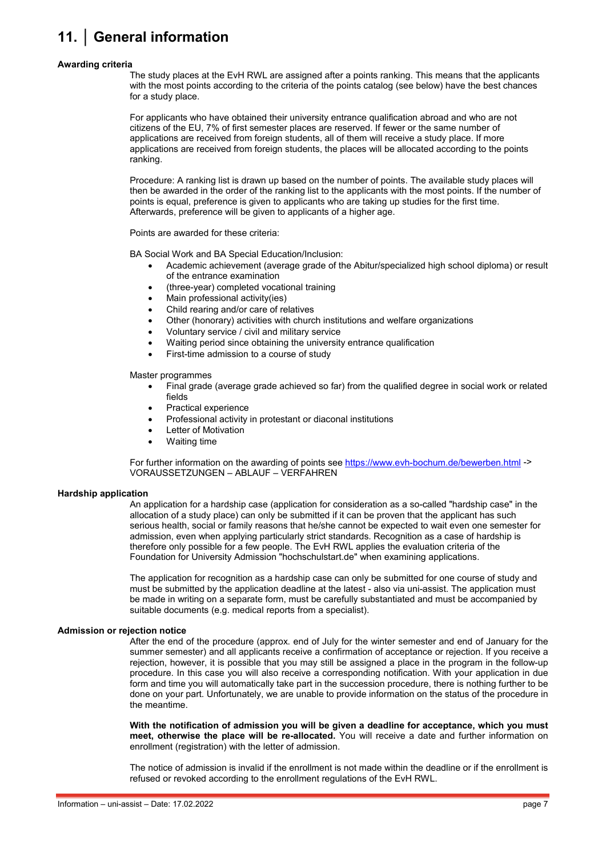# **11. │ General information**

#### **Awarding criteria**

The study places at the EvH RWL are assigned after a points ranking. This means that the applicants with the most points according to the criteria of the points catalog (see below) have the best chances for a study place.

For applicants who have obtained their university entrance qualification abroad and who are not citizens of the EU, 7% of first semester places are reserved. If fewer or the same number of applications are received from foreign students, all of them will receive a study place. If more applications are received from foreign students, the places will be allocated according to the points ranking.

Procedure: A ranking list is drawn up based on the number of points. The available study places will then be awarded in the order of the ranking list to the applicants with the most points. If the number of points is equal, preference is given to applicants who are taking up studies for the first time. Afterwards, preference will be given to applicants of a higher age.

Points are awarded for these criteria:

BA Social Work and BA Special Education/Inclusion:

- Academic achievement (average grade of the Abitur/specialized high school diploma) or result of the entrance examination
- (three-year) completed vocational training
- Main professional activity(ies)
- Child rearing and/or care of relatives
- Other (honorary) activities with church institutions and welfare organizations
- Voluntary service / civil and military service
- Waiting period since obtaining the university entrance qualification
- First-time admission to a course of study

#### Master programmes

- Final grade (average grade achieved so far) from the qualified degree in social work or related fields
- Practical experience
- Professional activity in protestant or diaconal institutions
- Letter of Motivation
- Waiting time

For further information on the awarding of points see <https://www.evh-bochum.de/bewerben.html> -> VORAUSSETZUNGEN – ABLAUF – VERFAHREN

#### **Hardship application**

An application for a hardship case (application for consideration as a so-called "hardship case" in the allocation of a study place) can only be submitted if it can be proven that the applicant has such serious health, social or family reasons that he/she cannot be expected to wait even one semester for admission, even when applying particularly strict standards. Recognition as a case of hardship is therefore only possible for a few people. The EvH RWL applies the evaluation criteria of the Foundation for University Admission "hochschulstart.de" when examining applications.

The application for recognition as a hardship case can only be submitted for one course of study and must be submitted by the application deadline at the latest - also via uni-assist. The application must be made in writing on a separate form, must be carefully substantiated and must be accompanied by suitable documents (e.g. medical reports from a specialist).

#### **Admission or rejection notice**

After the end of the procedure (approx. end of July for the winter semester and end of January for the summer semester) and all applicants receive a confirmation of acceptance or rejection. If you receive a rejection, however, it is possible that you may still be assigned a place in the program in the follow-up procedure. In this case you will also receive a corresponding notification. With your application in due form and time you will automatically take part in the succession procedure, there is nothing further to be done on your part. Unfortunately, we are unable to provide information on the status of the procedure in the meantime.

**With the notification of admission you will be given a deadline for acceptance, which you must meet, otherwise the place will be re-allocated.** You will receive a date and further information on enrollment (registration) with the letter of admission.

The notice of admission is invalid if the enrollment is not made within the deadline or if the enrollment is refused or revoked according to the enrollment regulations of the EvH RWL.